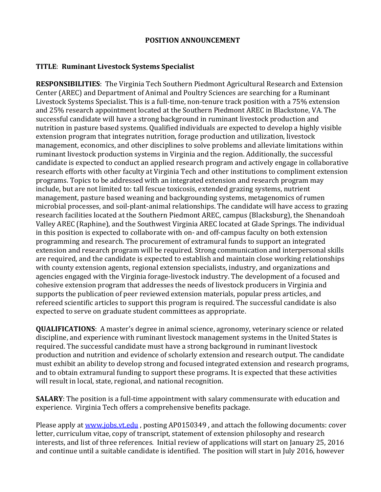## **POSITION ANNOUNCEMENT**

## **TITLE**: **Ruminant Livestock Systems Specialist**

**RESPONSIBILITIES:** The Virginia Tech Southern Piedmont Agricultural Research and Extension Center (AREC) and Department of Animal and Poultry Sciences are searching for a Ruminant Livestock Systems Specialist. This is a full-time, non-tenure track position with a 75% extension and 25% research appointment located at the Southern Piedmont AREC in Blackstone, VA. The successful candidate will have a strong background in ruminant livestock production and nutrition in pasture based systems. Qualified individuals are expected to develop a highly visible extension program that integrates nutrition, forage production and utilization, livestock management, economics, and other disciplines to solve problems and alleviate limitations within ruminant livestock production systems in Virginia and the region. Additionally, the successful candidate is expected to conduct an applied research program and actively engage in collaborative research efforts with other faculty at Virginia Tech and other institutions to compliment extension programs. Topics to be addressed with an integrated extension and research program may include, but are not limited to: tall fescue toxicosis, extended grazing systems, nutrient management, pasture based weaning and backgrounding systems, metagenomics of rumen microbial processes, and soil-plant-animal relationships. The candidate will have access to grazing research facilities located at the Southern Piedmont AREC, campus (Blacksburg), the Shenandoah Valley AREC (Raphine), and the Southwest Virginia AREC located at Glade Springs. The individual in this position is expected to collaborate with on- and off-campus faculty on both extension programming and research. The procurement of extramural funds to support an integrated extension and research program will be required. Strong communication and interpersonal skills are required, and the candidate is expected to establish and maintain close working relationships with county extension agents, regional extension specialists, industry, and organizations and agencies engaged with the Virginia forage-livestock industry. The development of a focused and cohesive extension program that addresses the needs of livestock producers in Virginia and supports the publication of peer reviewed extension materials, popular press articles, and refereed scientific articles to support this program is required. The successful candidate is also expected to serve on graduate student committees as appropriate.

**QUALIFICATIONS**: A master's degree in animal science, agronomy, veterinary science or related discipline, and experience with ruminant livestock management systems in the United States is required. The successful candidate must have a strong background in ruminant livestock production and nutrition and evidence of scholarly extension and research output. The candidate must exhibit an ability to develop strong and focused integrated extension and research programs, and to obtain extramural funding to support these programs. It is expected that these activities will result in local, state, regional, and national recognition.

**SALARY**: The position is a full-time appointment with salary commensurate with education and experience. Virginia Tech offers a comprehensive benefits package.

Please apply at www.jobs.vt.edu, posting AP0150349, and attach the following documents: cover letter, curriculum vitae, copy of transcript, statement of extension philosophy and research interests, and list of three references. Initial review of applications will start on January 25, 2016 and continue until a suitable candidate is identified. The position will start in July 2016, however